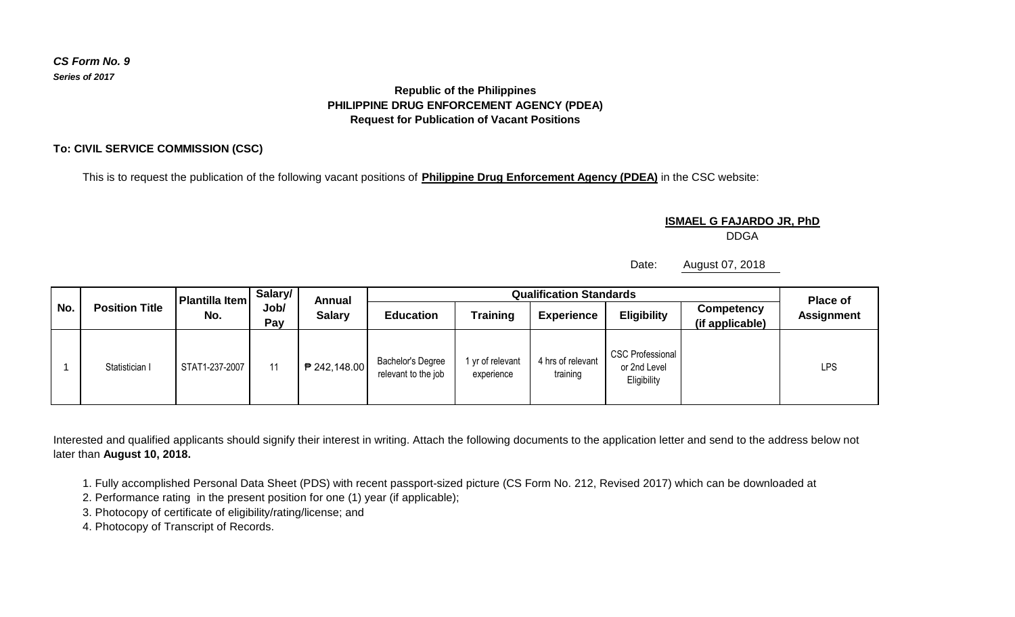## *CS Form No. 9 Series of 2017*

## **Republic of the Philippines PHILIPPINE DRUG ENFORCEMENT AGENCY (PDEA) Request for Publication of Vacant Positions**

## **To: CIVIL SERVICE COMMISSION (CSC)**

This is to request the publication of the following vacant positions of **Philippine Drug Enforcement Agency (PDEA)** in the CSC website:

**ISMAEL G FAJARDO JR, PhD**

DDGA

Date: August 07, 2018

| No. | <b>Position Title</b> | <b>Plantilla Item</b><br>No. | Salary/<br>Job/<br>Pay | Annual<br><b>Salary</b> | <b>Qualification Standards</b>           |                              |                               |                                                        |                               | <b>Place of</b>   |
|-----|-----------------------|------------------------------|------------------------|-------------------------|------------------------------------------|------------------------------|-------------------------------|--------------------------------------------------------|-------------------------------|-------------------|
|     |                       |                              |                        |                         | <b>Education</b>                         | <b>Training</b>              | <b>Experience</b>             | <b>Eligibility</b>                                     | Competency<br>(if applicable) | <b>Assignment</b> |
|     | Statistician I        | STAT1-237-2007               | 11                     | ₱ 242,148.00            | Bachelor's Degree<br>relevant to the job | yr of relevant<br>experience | 4 hrs of relevant<br>training | <b>CSC Professional</b><br>or 2nd Level<br>Eligibility |                               | LPS               |

Interested and qualified applicants should signify their interest in writing. Attach the following documents to the application letter and send to the address below not later than **August 10, 2018.**

1. Fully accomplished Personal Data Sheet (PDS) with recent passport-sized picture (CS Form No. 212, Revised 2017) which can be downloaded at

2. Performance rating in the present position for one (1) year (if applicable);

3. Photocopy of certificate of eligibility/rating/license; and

4. Photocopy of Transcript of Records.